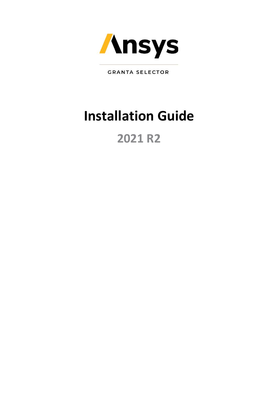

**GRANTA SELECTOR** 

# **Installation Guide**

# **2021 R2**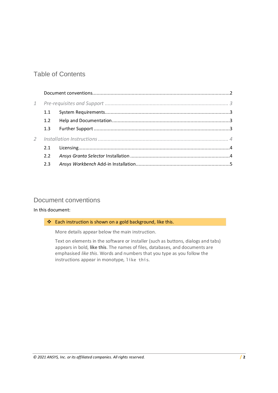## Table of Contents

| $\mathbf{1}$  |               |  |
|---------------|---------------|--|
|               | 1.1           |  |
|               | 1.2           |  |
|               | 1.3           |  |
| $\mathcal{P}$ |               |  |
|               | 2.1           |  |
|               | $2.2^{\circ}$ |  |
|               | 2.3           |  |
|               |               |  |

## <span id="page-1-0"></span>Document conventions

### In this document:

❖ Each instruction is shown on a gold background, like this.

More details appear below the main instruction.

Text on elements in the software or installer (such as buttons, dialogs and tabs) appears in bold, **like this**. The names of files, databases, and documents are emphasised *like this*. Words and numbers that you type as you follow the instructions appear in monotype, like this.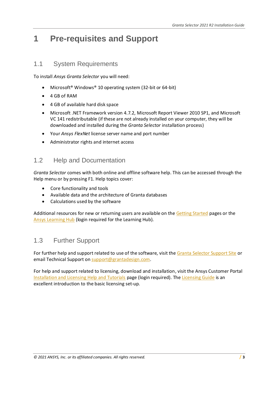## <span id="page-2-0"></span>**1 Pre-requisites and Support**

## <span id="page-2-1"></span>1.1 System Requirements

To install *Ansys Granta Selector* you will need:

- Microsoft<sup>®</sup> Windows<sup>®</sup> 10 operating system (32-bit or 64-bit)
- 4 GB of RAM
- 4 GB of available hard disk space
- Microsoft .NET Framework version 4.7.2, Microsoft Report Viewer 2010 SP1, and Microsoft VC 141 redistributable (if these are not already installed on your computer, they will be downloaded and installed during the *Granta Selector* installation process)
- Your *Ansys FlexNet* license server name and port number
- Administrator rights and internet access

## <span id="page-2-2"></span>1.2 Help and Documentation

*Granta Selector* comes with both online and offline software help. This can be accessed through the Help menu or by pressing F1. Help topics cover:

- Core functionality and tools
- Available data and the architecture of Granta databases
- Calculations used by the software

Additional resources for new or returning users are available on th[e Getting Started](https://grantadesign.com/industry/support/ces-selector/getting-started/) pages or the [Ansys Learning Hub](https://jam8.sapjam.com/groups/c3dqpoFyMGQdTxaBx0A0Pd/overview_page/fmzmavlEDJrHH8Cr9LCm4U) (login required for the Learning Hub).

## <span id="page-2-3"></span>1.3 Further Support

For further help and support related to use of the software, visit the Granta [Selector Support Site](https://grantadesign.com/industry/support/ces-selector/) or email Technical Support on [support@grantadesign.com.](mailto:support@grantadesign.com?subject=Granta%20Selector%202021%20R2%20Installation)

For help and support related to licensing, download and installation, visit the Ansys Customer Portal [Installation and Licensing Help and Tutorials](https://support.ansys.com/AnsysCustomerPortal/en_us/Downloads/Installation+and+Licensing+Help+and+Tutorials) page (login required). Th[e Licensing Guide](https://support.ansys.com/portal/site/AnsysCustomerPortal/template.fss?file=/ANSYS+Customer+Portal/staticassets/GettingStarted/2021R2/ANSYS_Inc._Licensing_Guide.pdf) is an excellent introduction to the basic licensing set-up.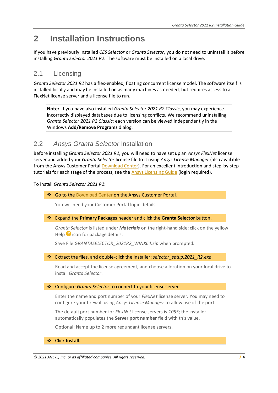## <span id="page-3-0"></span>**2 Installation Instructions**

If you have previously installed *CES Selector* or *Granta Selector*, you do not need to uninstall it before installing *Granta Selector 2021 R2*. The software must be installed on a local drive.

## <span id="page-3-1"></span>2.1 Licensing

*Granta Selector 2021 R2* has a flex-enabled, floating concurrent license model. The software itself is installed locally and may be installed on as many machines as needed, but requires access to a FlexNet license server and a license file to run.

**Note:** If you have also installed *Granta Selector 2021 R2 Classic*, you may experience incorrectly displayed databases due to licensing conflicts. We recommend uninstalling *Granta Selector 2021 R2 Classic*; each version can be viewed independently in the Windows **Add/Remove Programs** dialog.

## <span id="page-3-2"></span>2.2 *Ansys Granta Selector* Installation

Before installing *Granta Selector 2021 R2*, you will need to have set up an *Ansys FlexNet* license server and added your *Granta Selector* license file to it using *Ansys License Manager* (also available from the Ansys Customer Portal [Download Center\)](https://support.ansys.com/AnsysCustomerPortal/en_us/Downloads/Current+Release). For an excellent introduction and step-by-step tutorials for each stage of the process, see the Ansys [Licensing Guide](https://support.ansys.com/portal/site/AnsysCustomerPortal/template.fss?file=/ANSYS+Customer+Portal/staticassets/GettingStarted/2021R2/ANSYS_Inc._Licensing_Guide.pdf) (login required).

To install *Granta Selector 2021 R2*:

❖ Go to the [Download Center](https://support.ansys.com/AnsysCustomerPortal/en_us/Downloads/Current+Release) on the Ansys Customer Portal.

You will need your Customer Portal login details.

❖ Expand the **Primary Packages** header and click the **Granta Selector** button.

*Granta Selector* is listed under *Materials* on the right-hand side; click on the yellow Help  $\bullet$  icon for package details.

Save File *GRANTASELECTOR\_2021R2\_WINX64.zip* when prompted.

❖ Extract the files, and double-click the installer: *selector\_setup.2021\_R2.exe*.

Read and accept the license agreement, and choose a location on your local drive to install *Granta Selector*.

❖ Configure *Granta Selector* to connect to your license server.

Enter the name and port number of your *FlexNet* license server. You may need to configure your firewall using *Ansys License Manager* to allow use of the port.

The default port number for *FlexNet* license servers is *1055*; the installer automatically populates the **Server port number** field with this value.

Optional: Name up to 2 more redundant license servers.

❖ Click **Install**.

*<sup>© 2021</sup> ANSYS, Inc. or its affiliated companies. All rights reserved.* **/ 4**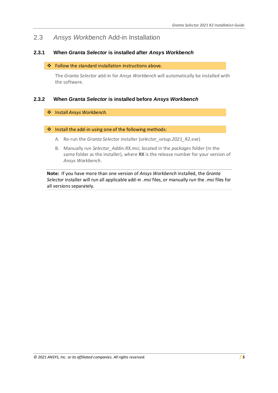## <span id="page-4-0"></span>2.3 *Ansys Workbench* Add-in Installation

### **2.3.1 When** *Granta Selector* **is installed after** *Ansys Workbench*

#### ❖ Follow the standard installation instructions above.

The *Granta Selector* add-in for *Ansys Workbench* will automatically be installed with the software.

### **2.3.2 When** *Granta Selector* **is installed before** *Ansys Workbench*

#### ❖ Install *Ansys Workbench.*

#### ❖ Install the add-in using one of the following methods:

- A. Re-run the *Granta Selector* installer (*selector\_setup.2021\_R2.exe*)
- B. Manually run *Selector\_Addin.RX.msi*, located in the *packages* folder (in the same folder as the installer), where **RX** is the release number for your version of *Ansys Workbench*.

**Note:** If you have more than one version of *Ansys Workbench* installed, the *Granta Selector* installer will run all applicable add-in *.msi* files, or manually run the *.msi* files for all versions separately.